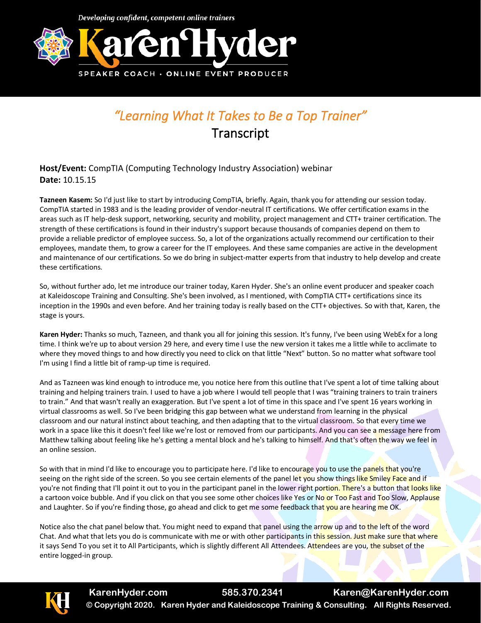

## *"Learning What It Takes to Be a Top Trainer"*  **Transcript**

**Host/Event:** CompTIA (Computing Technology Industry Association) webinar **Date:** 10.15.15

**Tazneen Kasem:** So I'd just like to start by introducing CompTIA, briefly. Again, thank you for attending our session today. CompTIA started in 1983 and is the leading provider of vendor-neutral IT certifications. We offer certification exams in the areas such as IT help-desk support, networking, security and mobility, project management and CTT+ trainer certification. The strength of these certifications is found in their industry's support because thousands of companies depend on them to provide a reliable predictor of employee success. So, a lot of the organizations actually recommend our certification to their employees, mandate them, to grow a career for the IT employees. And these same companies are active in the development and maintenance of our certifications. So we do bring in subject-matter experts from that industry to help develop and create these certifications.

So, without further ado, let me introduce our trainer today, Karen Hyder. She's an online event producer and speaker coach at Kaleidoscope Training and Consulting. She's been involved, as I mentioned, with CompTIA CTT+ certifications since its inception in the 1990s and even before. And her training today is really based on the CTT+ objectives. So with that, Karen, the stage is yours.

**Karen Hyder:** Thanks so much, Tazneen, and thank you all for joining this session. It's funny, I've been using WebEx for a long time. I think we're up to about version 29 here, and every time I use the new version it takes me a little while to acclimate to where they moved things to and how directly you need to click on that little "Next" button. So no matter what software tool I'm using I find a little bit of ramp-up time is required.

And as Tazneen was kind enough to introduce me, you notice here from this outline that I've spent a lot of time talking about training and helping trainers train. I used to have a job where I would tell people that I was "training trainers to train trainers to train." And that wasn't really an exaggeration. But I've spent a lot of time in this space and I've spent 16 years working in virtual classrooms as well. So I've been bridging this gap between what we understand from learning in the physical classroom and our natural instinct about teaching, and then adapting that to the virtual classroom. So that every time we work in a space like this it doesn't feel like we're lost or removed from our participants. And you can see a message here from Matthew talking about feeling like he's getting a mental block and he's talking to himself. And that's often the way we feel in an online session.

So with that in mind I'd like to encourage you to participate here. I'd like to encourage you to use the panels that you're seeing on the right side of the screen. So you see certain elements of the panel let you show things like Smiley Face and if you're not finding that I'll point it out to you in the participant panel in the lower right portion. There's a button that looks like a cartoon voice bubble. And if you click on that you see some other choices like Yes or No or Too Fast and Too Slow, Applause and Laughter. So if you're finding those, go ahead and click to get me some feedback that you are hearing me OK.

Notice also the chat panel below that. You might need to expand that panel using the arrow up and to the left of the word Chat. And what that lets you do is communicate with me or with other participants in this session. Just make sure that where it says Send To you set it to All Participants, which is slightly different All Attendees. Attendees are you, the subset of the entire logged-in group.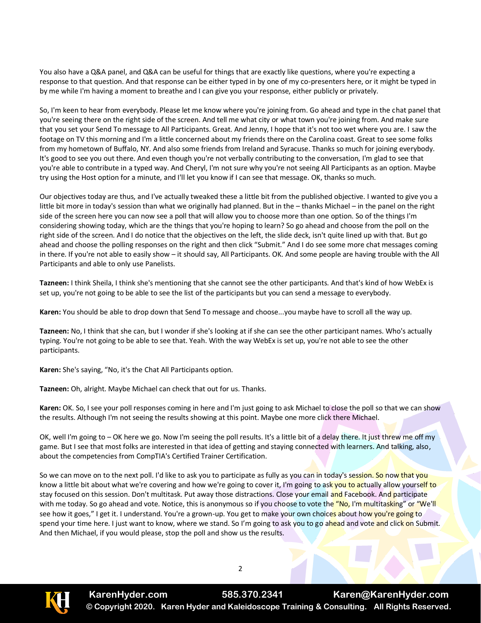You also have a Q&A panel, and Q&A can be useful for things that are exactly like questions, where you're expecting a response to that question. And that response can be either typed in by one of my co-presenters here, or it might be typed in by me while I'm having a moment to breathe and I can give you your response, either publicly or privately.

So, I'm keen to hear from everybody. Please let me know where you're joining from. Go ahead and type in the chat panel that you're seeing there on the right side of the screen. And tell me what city or what town you're joining from. And make sure that you set your Send To message to All Participants. Great. And Jenny, I hope that it's not too wet where you are. I saw the footage on TV this morning and I'm a little concerned about my friends there on the Carolina coast. Great to see some folks from my hometown of Buffalo, NY. And also some friends from Ireland and Syracuse. Thanks so much for joining everybody. It's good to see you out there. And even though you're not verbally contributing to the conversation, I'm glad to see that you're able to contribute in a typed way. And Cheryl, I'm not sure why you're not seeing All Participants as an option. Maybe try using the Host option for a minute, and I'll let you know if I can see that message. OK, thanks so much.

Our objectives today are thus, and I've actually tweaked these a little bit from the published objective. I wanted to give you a little bit more in today's session than what we originally had planned. But in the – thanks Michael – in the panel on the right side of the screen here you can now see a poll that will allow you to choose more than one option. So of the things I'm considering showing today, which are the things that you're hoping to learn? So go ahead and choose from the poll on the right side of the screen. And I do notice that the objectives on the left, the slide deck, isn't quite lined up with that. But go ahead and choose the polling responses on the right and then click "Submit." And I do see some more chat messages coming in there. If you're not able to easily show – it should say, All Participants. OK. And some people are having trouble with the All Participants and able to only use Panelists.

**Tazneen:** I think Sheila, I think she's mentioning that she cannot see the other participants. And that's kind of how WebEx is set up, you're not going to be able to see the list of the participants but you can send a message to everybody.

**Karen:** You should be able to drop down that Send To message and choose...you maybe have to scroll all the way up.

**Tazneen:** No, I think that she can, but I wonder if she's looking at if she can see the other participant names. Who's actually typing. You're not going to be able to see that. Yeah. With the way WebEx is set up, you're not able to see the other participants.

**Karen:** She's saying, "No, it's the Chat All Participants option.

**Tazneen:** Oh, alright. Maybe Michael can check that out for us. Thanks.

**Karen:** OK. So, I see your poll responses coming in here and I'm just going to ask Michael to close the poll so that we can show the results. Although I'm not seeing the results showing at this point. Maybe one more click there Michael.

OK, well I'm going to – OK here we go. Now I'm seeing the poll results. It's a little bit of a delay there. It just threw me off my game. But I see that most folks are interested in that idea of getting and staying connected with learners. And talking, also, about the competencies from CompTIA's Certified Trainer Certification.

So we can move on to the next poll. I'd like to ask you to participate as fully as you can in today's session. So now that you know a little bit about what we're covering and how we're going to cover it, I'm going to ask you to actually allow yourself to stay focused on this session. Don't multitask. Put away those distractions. Close your email and Facebook. And participate with me today. So go ahead and vote. Notice, this is anonymous so if you choose to vote the "No, I'm multitasking" or "We'll see how it goes," I get it. I understand. You're a grown-up. You get to make your own choices about how you're going to spend your time here. I just want to know, where we stand. So I'm going to ask you to go ahead and vote and click on Submit. And then Michael, if you would please, stop the poll and show us the results.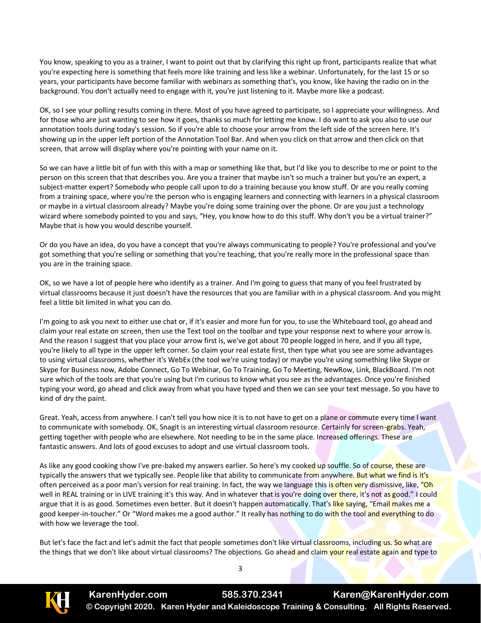You know, speaking to you as a trainer, I want to point out that by clarifying this right up front, participants realize that what you're expecting here is something that feels more like training and less like a webinar. Unfortunately, for the last 15 or so years, your participants have become familiar with webinars as something that's, you know, like having the radio on in the background. You don't actually need to engage with it, you're just listening to it. Maybe more like a podcast.

OK, so I see your polling results coming in there. Most of you have agreed to participate, so I appreciate your willingness. And for those who are just wanting to see how it goes, thanks so much for letting me know. I do want to ask you also to use our annotation tools during today's session. So if you're able to choose your arrow from the left side of the screen here. It's showing up in the upper left portion of the Annotation Tool Bar. And when you click on that arrow and then click on that screen, that arrow will display where you're pointing with your name on it.

So we can have a little bit of fun with this with a map or something like that, but I'd like you to describe to me or point to the person on this screen that that describes you. Are you a trainer that maybe isn't so much a trainer but you're an expert, a subject-matter expert? Somebody who people call upon to do a training because you know stuff. Or are you really coming from a training space, where you're the person who is engaging learners and connecting with learners in a physical classroom or maybe in a virtual classroom already? Maybe you're doing some training over the phone. Or are you just a technology wizard where somebody pointed to you and says, "Hey, you know how to do this stuff. Why don't you be a virtual trainer?" Maybe that is how you would describe yourself.

Or do you have an idea, do you have a concept that you're always communicating to people? You're professional and you've got something that you're selling or something that you're teaching, that you're really more in the professional space than you are in the training space.

OK, so we have a lot of people here who identify as a trainer. And I'm going to guess that many of you feel frustrated by virtual classrooms because it just doesn't have the resources that you are familiar with in a physical classroom. And you might feel a little bit limited in what you can do.

I'm going to ask you next to either use chat or, if it's easier and more fun for you, to use the Whiteboard tool, go ahead and claim your real estate on screen, then use the Text tool on the toolbar and type your response next to where your arrow is. And the reason I suggest that you place your arrow first is, we've got about 70 people logged in here, and if you all type, you're likely to all type in the upper left corner. So claim your real estate first, then type what you see are some advantages to using virtual classrooms, whether it's WebEx (the tool we're using today) or maybe you're using something like Skype or Skype for Business now, Adobe Connect, Go To Webinar, Go To Training, Go To Meeting, NewRow, Link, BlackBoard. I'm not sure which of the tools are that you're using but I'm curious to know what you see as the advantages. Once you're finished typing your word, go ahead and click away from what you have typed and then we can see your text message. So you have to kind of dry the paint.

Great. Yeah, access from anywhere. I can't tell you how nice it is to not have to get on a plane or commute every time I want to communicate with somebody. OK, Snagit is an interesting virtual classroom resource. Certainly for screen-grabs. Yeah, getting together with people who are elsewhere. Not needing to be in the same place. Increased offerings. These are fantastic answers. And lots of good excuses to adopt and use virtual classroom tools.

As like any good cooking show I've pre-baked my answers earlier. So here's my cooked up souffle. So of course, these are typically the answers that we typically see. People like that ability to communicate from anywhere. But what we find is it's often perceived as a poor man's version for real training. In fact, the way we language this is often very dismissive, like, "Oh well in REAL training or in LIVE training it's this way. And in whatever that is you're doing over there, it's not as good." I could argue that it is as good. Sometimes even better. But it doesn't happen automatically. That's like saying, "Email makes me a good keeper-in-toucher." Or "Word makes me a good author." It really has nothing to do with the tool and everything to do with how we leverage the tool.

But let's face the fact and let's admit the fact that people sometimes don't like virtual classrooms, including us. So what are the things that we don't like about virtual classrooms? The objections. Go ahead and claim your real estate again and type to

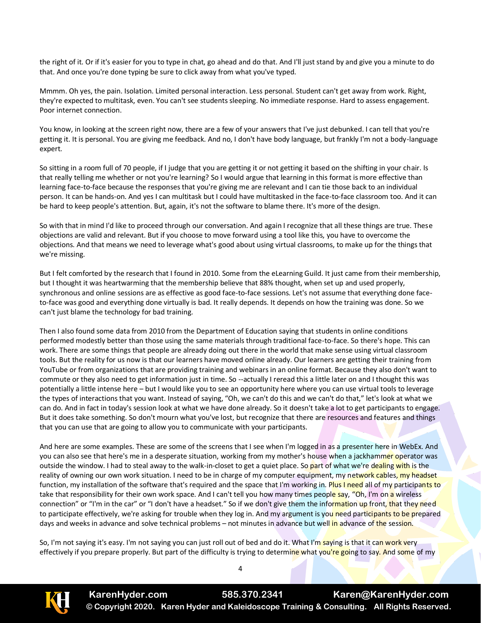the right of it. Or if it's easier for you to type in chat, go ahead and do that. And I'll just stand by and give you a minute to do that. And once you're done typing be sure to click away from what you've typed.

Mmmm. Oh yes, the pain. Isolation. Limited personal interaction. Less personal. Student can't get away from work. Right, they're expected to multitask, even. You can't see students sleeping. No immediate response. Hard to assess engagement. Poor internet connection.

You know, in looking at the screen right now, there are a few of your answers that I've just debunked. I can tell that you're getting it. It is personal. You are giving me feedback. And no, I don't have body language, but frankly I'm not a body-language expert.

So sitting in a room full of 70 people, if I judge that you are getting it or not getting it based on the shifting in your chair. Is that really telling me whether or not you're learning? So I would argue that learning in this format is more effective than learning face-to-face because the responses that you're giving me are relevant and I can tie those back to an individual person. It can be hands-on. And yes I can multitask but I could have multitasked in the face-to-face classroom too. And it can be hard to keep people's attention. But, again, it's not the software to blame there. It's more of the design.

So with that in mind I'd like to proceed through our conversation. And again I recognize that all these things are true. These objections are valid and relevant. But if you choose to move forward using a tool like this, you have to overcome the objections. And that means we need to leverage what's good about using virtual classrooms, to make up for the things that we're missing.

But I felt comforted by the research that I found in 2010. Some from the eLearning Guild. It just came from their membership, but I thought it was heartwarming that the membership believe that 88% thought, when set up and used properly, synchronous and online sessions are as effective as good face-to-face sessions. Let's not assume that everything done faceto-face was good and everything done virtually is bad. It really depends. It depends on how the training was done. So we can't just blame the technology for bad training.

Then I also found some data from 2010 from the Department of Education saying that students in online conditions performed modestly better than those using the same materials through traditional face-to-face. So there's hope. This can work. There are some things that people are already doing out there in the world that make sense using virtual classroom tools. But the reality for us now is that our learners have moved online already. Our learners are getting their training from YouTube or from organizations that are providing training and webinars in an online format. Because they also don't want to commute or they also need to get information just in time. So --actually I reread this a little later on and I thought this was potentially a little intense here – but I would like you to see an opportunity here where you can use virtual tools to leverage the types of interactions that you want. Instead of saying, "Oh, we can't do this and we can't do that," let's look at what we can do. And in fact in today's session look at what we have done already. So it doesn't take a lot to get participants to engage. But it does take something. So don't mourn what you've lost, but recognize that there are resources and features and things that you can use that are going to allow you to communicate with your participants.

And here are some examples. These are some of the screens that I see when I'm logged in as a presenter here in WebEx. And you can also see that here's me in a desperate situation, working from my mother's house when a jackhammer operator was outside the window. I had to steal away to the walk-in-closet to get a quiet place. So part of what we're dealing with is the reality of owning our own work situation. I need to be in charge of my computer equipment, my network cables, my headset function, my installation of the software that's required and the space that I'm working in. Plus I need all of my participants to take that responsibility for their own work space. And I can't tell you how many times people say, "Oh, I'm on a wireless connection" or "I'm in the car" or "I don't have a headset." So if we don't give them the information up front, that they need to participate effectively, we're asking for trouble when they log in. And my argument is you need participants to be prepared days and weeks in advance and solve technical problems – not minutes in advance but well in advance of the session.

So, I'm not saying it's easy. I'm not saying you can just roll out of bed and do it. What I'm saying is that it can work very effectively if you prepare properly. But part of the difficulty is trying to determine what you're going to say. And some of my

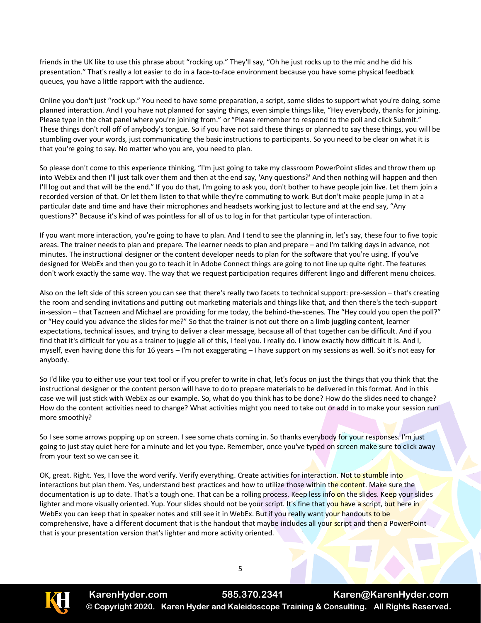friends in the UK like to use this phrase about "rocking up." They'll say, "Oh he just rocks up to the mic and he did his presentation." That's really a lot easier to do in a face-to-face environment because you have some physical feedback queues, you have a little rapport with the audience.

Online you don't just "rock up." You need to have some preparation, a script, some slides to support what you're doing, some planned interaction. And I you have not planned for saying things, even simple things like, "Hey everybody, thanks for joining. Please type in the chat panel where you're joining from." or "Please remember to respond to the poll and click Submit." These things don't roll off of anybody's tongue. So if you have not said these things or planned to say these things, you will be stumbling over your words, just communicating the basic instructions to participants. So you need to be clear on what it is that you're going to say. No matter who you are, you need to plan.

So please don't come to this experience thinking, "I'm just going to take my classroom PowerPoint slides and throw them up into WebEx and then I'll just talk over them and then at the end say, 'Any questions?' And then nothing will happen and then I'll log out and that will be the end." If you do that, I'm going to ask you, don't bother to have people join live. Let them join a recorded version of that. Or let them listen to that while they're commuting to work. But don't make people jump in at a particular date and time and have their microphones and headsets working just to lecture and at the end say, "Any questions?" Because it's kind of was pointless for all of us to log in for that particular type of interaction.

If you want more interaction, you're going to have to plan. And I tend to see the planning in, let's say, these four to five topic areas. The trainer needs to plan and prepare. The learner needs to plan and prepare – and I'm talking days in advance, not minutes. The instructional designer or the content developer needs to plan for the software that you're using. If you've designed for WebEx and then you go to teach it in Adobe Connect things are going to not line up quite right. The features don't work exactly the same way. The way that we request participation requires different lingo and different menu choices.

Also on the left side of this screen you can see that there's really two facets to technical support: pre-session – that's creating the room and sending invitations and putting out marketing materials and things like that, and then there's the tech-support in-session – that Tazneen and Michael are providing for me today, the behind-the-scenes. The "Hey could you open the poll?" or "Hey could you advance the slides for me?" So that the trainer is not out there on a limb juggling content, learner expectations, technical issues, and trying to deliver a clear message, because all of that together can be difficult. And if you find that it's difficult for you as a trainer to juggle all of this, I feel you. I really do. I know exactly how difficult it is. And I, myself, even having done this for 16 years – I'm not exaggerating – I have support on my sessions as well. So it's not easy for anybody.

So I'd like you to either use your text tool or if you prefer to write in chat, let's focus on just the things that you think that the instructional designer or the content person will have to do to prepare materials to be delivered in this format. And in this case we will just stick with WebEx as our example. So, what do you think has to be done? How do the slides need to change? How do the content activities need to change? What activities might you need to take out or add in to make your session run more smoothly?

So I see some arrows popping up on screen. I see some chats coming in. So thanks everybody for your responses. I'm just going to just stay quiet here for a minute and let you type. Remember, once you've typed on screen make sure to click away from your text so we can see it.

OK, great. Right. Yes, I love the word verify. Verify everything. Create activities for interaction. Not to stumble into interactions but plan them. Yes, understand best practices and how to utilize those within the content. Make sure the documentation is up to date. That's a tough one. That can be a rolling process. Keep less info on the slides. Keep your slides lighter and more visually oriented. Yup. Your slides should not be your script. It's fine that you have a script, but here in WebEx you can keep that in speaker notes and still see it in WebEx. But if you really want your handouts to be comprehensive, have a different document that is the handout that maybe includes all your script and then a PowerPoint that is your presentation version that's lighter and more activity oriented.

5

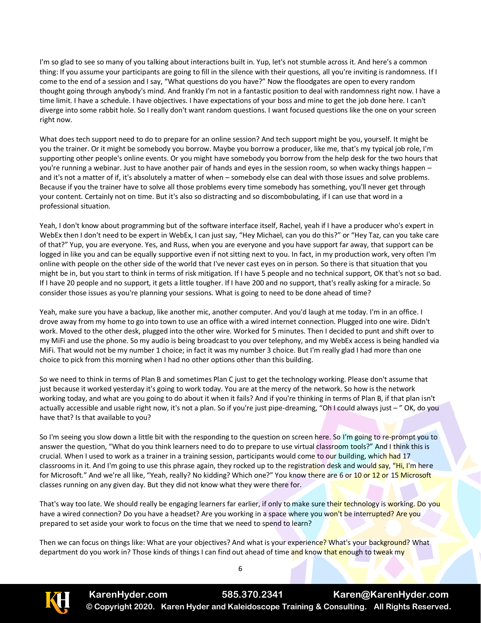I'm so glad to see so many of you talking about interactions built in. Yup, let's not stumble across it. And here's a common thing: If you assume your participants are going to fill in the silence with their questions, all you're inviting is randomness. If I come to the end of a session and I say, "What questions do you have?" Now the floodgates are open to every random thought going through anybody's mind. And frankly I'm not in a fantastic position to deal with randomness right now. I have a time limit. I have a schedule. I have objectives. I have expectations of your boss and mine to get the job done here. I can't diverge into some rabbit hole. So I really don't want random questions. I want focused questions like the one on your screen right now.

What does tech support need to do to prepare for an online session? And tech support might be you, yourself. It might be you the trainer. Or it might be somebody you borrow. Maybe you borrow a producer, like me, that's my typical job role, I'm supporting other people's online events. Or you might have somebody you borrow from the help desk for the two hours that you're running a webinar. Just to have another pair of hands and eyes in the session room, so when wacky things happen – and it's not a matter of if, it's absolutely a matter of when – somebody else can deal with those issues and solve problems. Because if you the trainer have to solve all those problems every time somebody has something, you'll never get through your content. Certainly not on time. But it's also so distracting and so discombobulating, if I can use that word in a professional situation.

Yeah, I don't know about programming but of the software interface itself, Rachel, yeah if I have a producer who's expert in WebEx then I don't need to be expert in WebEx, I can just say, "Hey Michael, can you do this?" or "Hey Taz, can you take care of that?" Yup, you are everyone. Yes, and Russ, when you are everyone and you have support far away, that support can be logged in like you and can be equally supportive even if not sitting next to you. In fact, in my production work, very often I'm online with people on the other side of the world that I've never cast eyes on in person. So there is that situation that you might be in, but you start to think in terms of risk mitigation. If I have 5 people and no technical support, OK that's not so bad. If I have 20 people and no support, it gets a little tougher. If I have 200 and no support, that's really asking for a miracle. So consider those issues as you're planning your sessions. What is going to need to be done ahead of time?

Yeah, make sure you have a backup, like another mic, another computer. And you'd laugh at me today. I'm in an office. I drove away from my home to go into town to use an office with a wired internet connection. Plugged into one wire. Didn't work. Moved to the other desk, plugged into the other wire. Worked for 5 minutes. Then I decided to punt and shift over to my MiFi and use the phone. So my audio is being broadcast to you over telephony, and my WebEx access is being handled via MiFi. That would not be my number 1 choice; in fact it was my number 3 choice. But I'm really glad I had more than one choice to pick from this morning when I had no other options other than this building.

So we need to think in terms of Plan B and sometimes Plan C just to get the technology working. Please don't assume that just because it worked yesterday it's going to work today. You are at the mercy of the network. So how is the network working today, and what are you going to do about it when it fails? And if you're thinking in terms of Plan B, if that plan isn't actually accessible and usable right now, it's not a plan. So if you're just pipe-dreaming, "Oh I could always just – " OK, do you have that? Is that available to you?

So I'm seeing you slow down a little bit with the responding to the question on screen here. So I'm going to re-prompt you to answer the question, "What do you think learners need to do to prepare to use virtual classroom tools?" And I think this is crucial. When I used to work as a trainer in a training session, participants would come to our building, which had 17 classrooms in it. And I'm going to use this phrase again, they rocked up to the registration desk and would say, "Hi, I'm here for Microsoft." And we're all like, "Yeah, really? No kidding? Which one?" You know there are 6 or 10 or 12 or 15 Microsoft classes running on any given day. But they did not know what they were there for.

That's way too late. We should really be engaging learners far earlier, if only to make sure their technology is working. Do you have a wired connection? Do you have a headset? Are you working in a space where you won't be interrupted? Are you prepared to set aside your work to focus on the time that we need to spend to learn?

Then we can focus on things like: What are your objectives? And what is your experience? What's your background? What department do you work in? Those kinds of things I can find out ahead of time and know that enough to tweak my



**KarenHyder.com 585.370.2341 Karen@KarenHyder.com © Copyright 2020. Karen Hyder and Kaleidoscope Training & Consulting. All Rights Reserved.**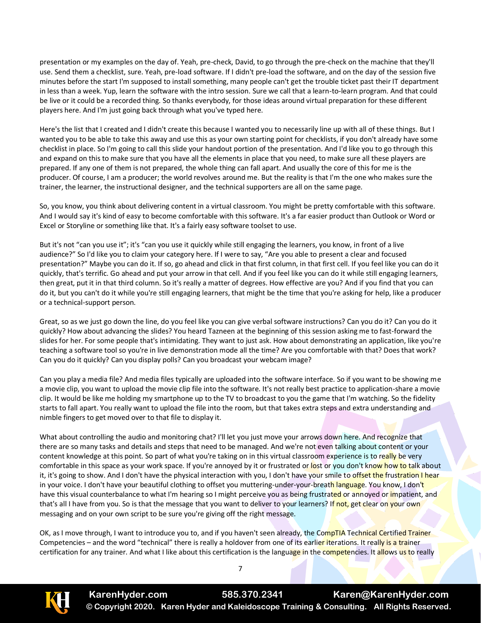presentation or my examples on the day of. Yeah, pre-check, David, to go through the pre-check on the machine that they'll use. Send them a checklist, sure. Yeah, pre-load software. If I didn't pre-load the software, and on the day of the session five minutes before the start I'm supposed to install something, many people can't get the trouble ticket past their IT department in less than a week. Yup, learn the software with the intro session. Sure we call that a learn-to-learn program. And that could be live or it could be a recorded thing. So thanks everybody, for those ideas around virtual preparation for these different players here. And I'm just going back through what you've typed here.

Here's the list that I created and I didn't create this because I wanted you to necessarily line up with all of these things. But I wanted you to be able to take this away and use this as your own starting point for checklists, if you don't already have some checklist in place. So I'm going to call this slide your handout portion of the presentation. And I'd like you to go through this and expand on this to make sure that you have all the elements in place that you need, to make sure all these players are prepared. If any one of them is not prepared, the whole thing can fall apart. And usually the core of this for me is the producer. Of course, I am a producer; the world revolves around me. But the reality is that I'm the one who makes sure the trainer, the learner, the instructional designer, and the technical supporters are all on the same page.

So, you know, you think about delivering content in a virtual classroom. You might be pretty comfortable with this software. And I would say it's kind of easy to become comfortable with this software. It's a far easier product than Outlook or Word or Excel or Storyline or something like that. It's a fairly easy software toolset to use.

But it's not "can you use it"; it's "can you use it quickly while still engaging the learners, you know, in front of a live audience?" So I'd like you to claim your category here. If I were to say, "Are you able to present a clear and focused presentation?" Maybe you can do it. If so, go ahead and click in that first column, in that first cell. If you feel like you can do it quickly, that's terrific. Go ahead and put your arrow in that cell. And if you feel like you can do it while still engaging learners, then great, put it in that third column. So it's really a matter of degrees. How effective are you? And if you find that you can do it, but you can't do it while you're still engaging learners, that might be the time that you're asking for help, like a producer or a technical-support person.

Great, so as we just go down the line, do you feel like you can give verbal software instructions? Can you do it? Can you do it quickly? How about advancing the slides? You heard Tazneen at the beginning of this session asking me to fast-forward the slides for her. For some people that's intimidating. They want to just ask. How about demonstrating an application, like you're teaching a software tool so you're in live demonstration mode all the time? Are you comfortable with that? Does that work? Can you do it quickly? Can you display polls? Can you broadcast your webcam image?

Can you play a media file? And media files typically are uploaded into the software interface. So if you want to be showing me a movie clip, you want to upload the movie clip file into the software. It's not really best practice to application-share a movie clip. It would be like me holding my smartphone up to the TV to broadcast to you the game that I'm watching. So the fidelity starts to fall apart. You really want to upload the file into the room, but that takes extra steps and extra understanding and nimble fingers to get moved over to that file to display it.

What about controlling the audio and monitoring chat? I'll let you just move your arrows down here. And recognize that there are so many tasks and details and steps that need to be managed. And we're not even talking about content or your content knowledge at this point. So part of what you're taking on in this virtual classroom experience is to really be very comfortable in this space as your work space. If you're annoyed by it or frustrated or lost or you don't know how to talk about it, it's going to show. And I don't have the physical interaction with you, I don't have your smile to offset the frustration I hear in your voice. I don't have your beautiful clothing to offset you muttering-under-your-breath language. You know, I don't have this visual counterbalance to what I'm hearing so I might perceive you as being frustrated or annoyed or impatient, and that's all I have from you. So is that the message that you want to deliver to your learners? If not, get clear on your own messaging and on your own script to be sure you're giving off the right message.

OK, as I move through, I want to introduce you to, and if you haven't seen already, the CompTIA Technical Certified Trainer Competencies – and the word "technical" there is really a holdover from one of its earlier iterations. It really is a trainer certification for any trainer. And what I like about this certification is the language in the competencies. It allows us to really

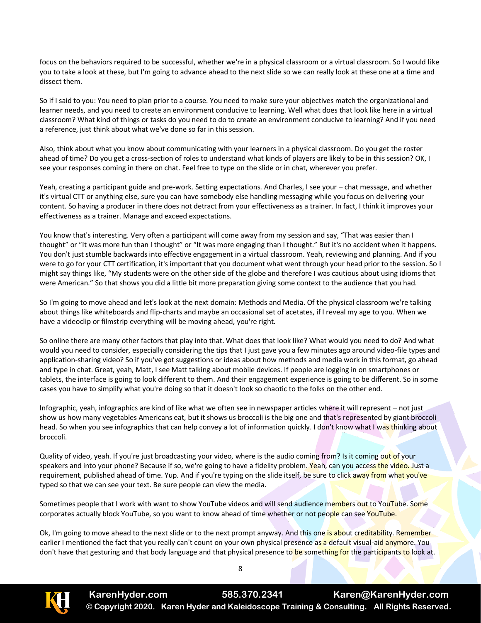focus on the behaviors required to be successful, whether we're in a physical classroom or a virtual classroom. So I would like you to take a look at these, but I'm going to advance ahead to the next slide so we can really look at these one at a time and dissect them.

So if I said to you: You need to plan prior to a course. You need to make sure your objectives match the organizational and learner needs, and you need to create an environment conducive to learning. Well what does that look like here in a virtual classroom? What kind of things or tasks do you need to do to create an environment conducive to learning? And if you need a reference, just think about what we've done so far in this session.

Also, think about what you know about communicating with your learners in a physical classroom. Do you get the roster ahead of time? Do you get a cross-section of roles to understand what kinds of players are likely to be in this session? OK, I see your responses coming in there on chat. Feel free to type on the slide or in chat, wherever you prefer.

Yeah, creating a participant guide and pre-work. Setting expectations. And Charles, I see your – chat message, and whether it's virtual CTT or anything else, sure you can have somebody else handling messaging while you focus on delivering your content. So having a producer in there does not detract from your effectiveness as a trainer. In fact, I think it improves your effectiveness as a trainer. Manage and exceed expectations.

You know that's interesting. Very often a participant will come away from my session and say, "That was easier than I thought" or "It was more fun than I thought" or "It was more engaging than I thought." But it's no accident when it happens. You don't just stumble backwards into effective engagement in a virtual classroom. Yeah, reviewing and planning. And if you were to go for your CTT certification, it's important that you document what went through your head prior to the session. So I might say things like, "My students were on the other side of the globe and therefore I was cautious about using idioms that were American." So that shows you did a little bit more preparation giving some context to the audience that you had.

So I'm going to move ahead and let's look at the next domain: Methods and Media. Of the physical classroom we're talking about things like whiteboards and flip-charts and maybe an occasional set of acetates, if I reveal my age to you. When we have a videoclip or filmstrip everything will be moving ahead, you're right.

So online there are many other factors that play into that. What does that look like? What would you need to do? And what would you need to consider, especially considering the tips that I just gave you a few minutes ago around video-file types and application-sharing video? So if you've got suggestions or ideas about how methods and media work in this format, go ahead and type in chat. Great, yeah, Matt, I see Matt talking about mobile devices. If people are logging in on smartphones or tablets, the interface is going to look different to them. And their engagement experience is going to be different. So in some cases you have to simplify what you're doing so that it doesn't look so chaotic to the folks on the other end.

Infographic, yeah, infographics are kind of like what we often see in newspaper articles where it will represent – not just show us how many vegetables Americans eat, but it shows us broccoli is the big one and that's represented by giant broccoli head. So when you see infographics that can help convey a lot of information quickly. I don't know what I was thinking about broccoli.

Quality of video, yeah. If you're just broadcasting your video, where is the audio coming from? Is it coming out of your speakers and into your phone? Because if so, we're going to have a fidelity problem. Yeah, can you access the video. Just a requirement, published ahead of time. Yup. And if you're typing on the slide itself, be sure to click away from what you've typed so that we can see your text. Be sure people can view the media.

Sometimes people that I work with want to show YouTube videos and will send audience members out to YouTube. Some corporates actually block YouTube, so you want to know ahead of time whether or not people can see YouTube.

Ok, I'm going to move ahead to the next slide or to the next prompt anyway. And this one is about creditability. Remember earlier I mentioned the fact that you really can't count on your own physical presence as a default visual-aid anymore. You don't have that gesturing and that body language and that physical presence to be something for the participants to look at.

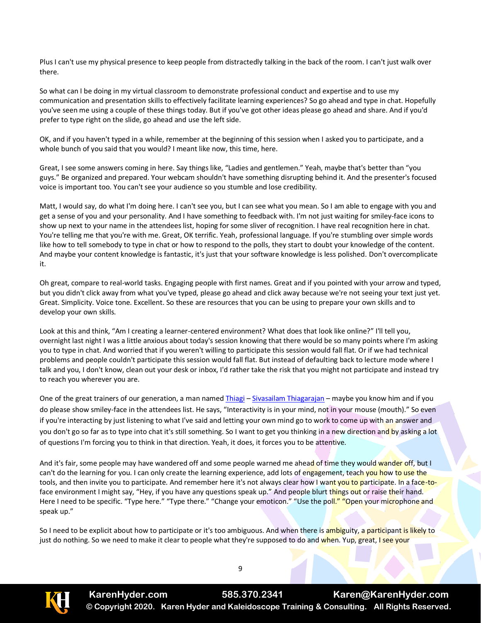Plus I can't use my physical presence to keep people from distractedly talking in the back of the room. I can't just walk over there.

So what can I be doing in my virtual classroom to demonstrate professional conduct and expertise and to use my communication and presentation skills to effectively facilitate learning experiences? So go ahead and type in chat. Hopefully you've seen me using a couple of these things today. But if you've got other ideas please go ahead and share. And if you'd prefer to type right on the slide, go ahead and use the left side.

OK, and if you haven't typed in a while, remember at the beginning of this session when I asked you to participate, and a whole bunch of you said that you would? I meant like now, this time, here.

Great, I see some answers coming in here. Say things like, "Ladies and gentlemen." Yeah, maybe that's better than "you guys." Be organized and prepared. Your webcam shouldn't have something disrupting behind it. And the presenter's focused voice is important too. You can't see your audience so you stumble and lose credibility.

Matt, I would say, do what I'm doing here. I can't see you, but I can see what you mean. So I am able to engage with you and get a sense of you and your personality. And I have something to feedback with. I'm not just waiting for smiley-face icons to show up next to your name in the attendees list, hoping for some sliver of recognition. I have real recognition here in chat. You're telling me that you're with me. Great, OK terrific. Yeah, professional language. If you're stumbling over simple words like how to tell somebody to type in chat or how to respond to the polls, they start to doubt your knowledge of the content. And maybe your content knowledge is fantastic, it's just that your software knowledge is less polished. Don't overcomplicate it.

Oh great, compare to real-world tasks. Engaging people with first names. Great and if you pointed with your arrow and typed, but you didn't click away from what you've typed, please go ahead and click away because we're not seeing your text just yet. Great. Simplicity. Voice tone. Excellent. So these are resources that you can be using to prepare your own skills and to develop your own skills.

Look at this and think, "Am I creating a learner-centered environment? What does that look like online?" I'll tell you, overnight last night I was a little anxious about today's session knowing that there would be so many points where I'm asking you to type in chat. And worried that if you weren't willing to participate this session would fall flat. Or if we had technical problems and people couldn't participate this session would fall flat. But instead of defaulting back to lecture mode where I talk and you, I don't know, clean out your desk or inbox, I'd rather take the risk that you might not participate and instead try to reach you wherever you are.

One of the great trainers of our generation, a man named [Thiagi](http://www.thiagi.com/) – [Sivasailam Thiagarajan](https://www.linkedin.com/in/sivasailam-thiagarajan-758b1/) – maybe you know him and if you do please show smiley-face in the attendees list. He says, "Interactivity is in your mind, not in your mouse (mouth)." So even if you're interacting by just listening to what I've said and letting your own mind go to work to come up with an answer and you don't go so far as to type into chat it's still something. So I want to get you thinking in a new direction and by asking a lot of questions I'm forcing you to think in that direction. Yeah, it does, it forces you to be attentive.

And it's fair, some people may have wandered off and some people warned me ahead of time they would wander off, but I can't do the learning for you. I can only create the learning experience, add lots of engagement, teach you how to use the tools, and then invite you to participate. And remember here it's not always clear how I want you to participate. In a face-toface environment I might say, "Hey, if you have any questions speak up." And people blurt things out or raise their hand. Here I need to be specific. "Type here." "Type there." "Change your emoticon." "Use the poll." "Open your microphone and speak up."

So I need to be explicit about how to participate or it's too ambiguous. And when there is ambiguity, a participant is likely to just do nothing. So we need to make it clear to people what they're supposed to do and when. Yup, great, I see your

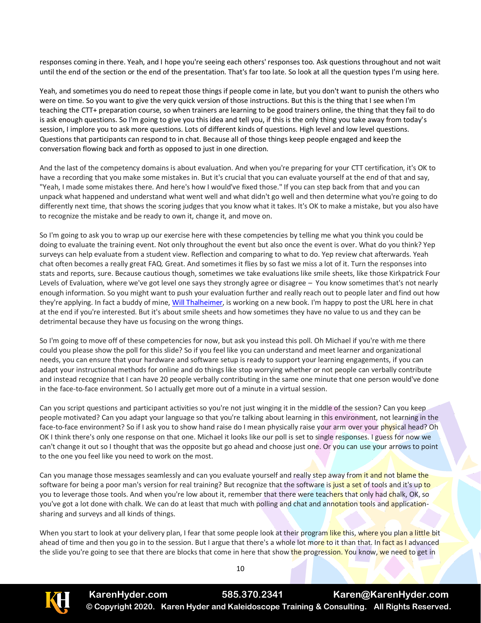responses coming in there. Yeah, and I hope you're seeing each others' responses too. Ask questions throughout and not wait until the end of the section or the end of the presentation. That's far too late. So look at all the question types I'm using here.

Yeah, and sometimes you do need to repeat those things if people come in late, but you don't want to punish the others who were on time. So you want to give the very quick version of those instructions. But this is the thing that I see when I'm teaching the CTT+ preparation course, so when trainers are learning to be good trainers online, the thing that they fail to do is ask enough questions. So I'm going to give you this idea and tell you, if this is the only thing you take away from today's session, I implore you to ask more questions. Lots of different kinds of questions. High level and low level questions. Questions that participants can respond to in chat. Because all of those things keep people engaged and keep the conversation flowing back and forth as opposed to just in one direction.

And the last of the competency domains is about evaluation. And when you're preparing for your CTT certification, it's OK to have a recording that you make some mistakes in. But it's crucial that you can evaluate yourself at the end of that and say, "Yeah, I made some mistakes there. And here's how I would've fixed those." If you can step back from that and you can unpack what happened and understand what went well and what didn't go well and then determine what you're going to do differently next time, that shows the scoring judges that you know what it takes. It's OK to make a mistake, but you also have to recognize the mistake and be ready to own it, change it, and move on.

So I'm going to ask you to wrap up our exercise here with these competencies by telling me what you think you could be doing to evaluate the training event. Not only throughout the event but also once the event is over. What do you think? Yep surveys can help evaluate from a student view. Reflection and comparing to what to do. Yep review chat afterwards. Yeah chat often becomes a really great FAQ. Great. And sometimes it flies by so fast we miss a lot of it. Turn the responses into stats and reports, sure. Because cautious though, sometimes we take evaluations like smile sheets, like those Kirkpatrick Four Levels of Evaluation, where we've got level one says they strongly agree or disagree – You know sometimes that's not nearly enough information. So you might want to push your evaluation further and really reach out to people later and find out how they're applying. In fact a buddy of mine, [Will Thalheimer,](https://www.td.org/user/about/WillThalheimer-000001#:~:text=Will%20Thalheimer%20is%20a%20learning,and%20performance%20field%20since%201985.) is working on a new book. I'm happy to post the URL here in chat at the end if you're interested. But it's about smile sheets and how sometimes they have no value to us and they can be detrimental because they have us focusing on the wrong things.

So I'm going to move off of these competencies for now, but ask you instead this poll. Oh Michael if you're with me there could you please show the poll for this slide? So if you feel like you can understand and meet learner and organizational needs, you can ensure that your hardware and software setup is ready to support your learning engagements, if you can adapt your instructional methods for online and do things like stop worrying whether or not people can verbally contribute and instead recognize that I can have 20 people verbally contributing in the same one minute that one person would've done in the face-to-face environment. So I actually get more out of a minute in a virtual session.

Can you script questions and participant activities so you're not just winging it in the middle of the session? Can you keep people motivated? Can you adapt your language so that you're talking about learning in this environment, not learning in the face-to-face environment? So if I ask you to show hand raise do I mean physically raise your arm over your physical head? Oh OK I think there's only one response on that one. Michael it looks like our poll is set to single responses. I guess for now we can't change it out so I thought that was the opposite but go ahead and choose just one. Or you can use your arrows to point to the one you feel like you need to work on the most.

Can you manage those messages seamlessly and can you evaluate yourself and really step away from it and not blame the software for being a poor man's version for real training? But recognize that the software is just a set of tools and it's up to you to leverage those tools. And when you're low about it, remember that there were teachers that only had chalk, OK, so you've got a lot done with chalk. We can do at least that much with polling and chat and annotation tools and applicationsharing and surveys and all kinds of things.

When you start to look at your delivery plan, I fear that some people look at their program like this, where you plan a little bit ahead of time and then you go in to the session. But I argue that there's a whole lot more to it than that. In fact as I advanced the slide you're going to see that there are blocks that come in here that show the progression. You know, we need to get in

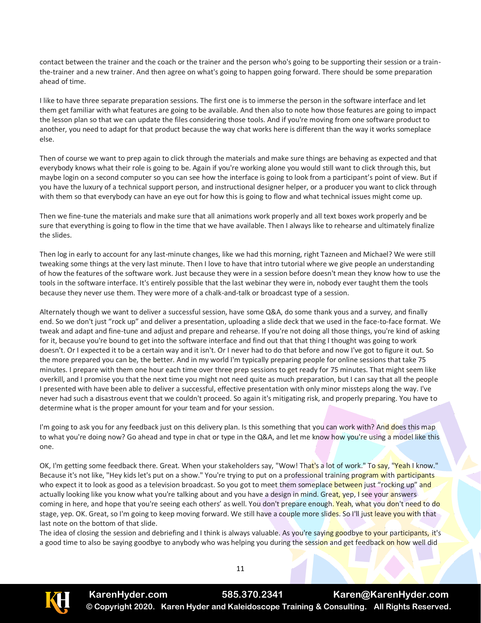contact between the trainer and the coach or the trainer and the person who's going to be supporting their session or a trainthe-trainer and a new trainer. And then agree on what's going to happen going forward. There should be some preparation ahead of time.

I like to have three separate preparation sessions. The first one is to immerse the person in the software interface and let them get familiar with what features are going to be available. And then also to note how those features are going to impact the lesson plan so that we can update the files considering those tools. And if you're moving from one software product to another, you need to adapt for that product because the way chat works here is different than the way it works someplace else.

Then of course we want to prep again to click through the materials and make sure things are behaving as expected and that everybody knows what their role is going to be. Again if you're working alone you would still want to click through this, but maybe login on a second computer so you can see how the interface is going to look from a participant's point of view. But if you have the luxury of a technical support person, and instructional designer helper, or a producer you want to click through with them so that everybody can have an eye out for how this is going to flow and what technical issues might come up.

Then we fine-tune the materials and make sure that all animations work properly and all text boxes work properly and be sure that everything is going to flow in the time that we have available. Then I always like to rehearse and ultimately finalize the slides.

Then log in early to account for any last-minute changes, like we had this morning, right Tazneen and Michael? We were still tweaking some things at the very last minute. Then I love to have that intro tutorial where we give people an understanding of how the features of the software work. Just because they were in a session before doesn't mean they know how to use the tools in the software interface. It's entirely possible that the last webinar they were in, nobody ever taught them the tools because they never use them. They were more of a chalk-and-talk or broadcast type of a session.

Alternately though we want to deliver a successful session, have some Q&A, do some thank yous and a survey, and finally end. So we don't just "rock up" and deliver a presentation, uploading a slide deck that we used in the face-to-face format. We tweak and adapt and fine-tune and adjust and prepare and rehearse. If you're not doing all those things, you're kind of asking for it, because you're bound to get into the software interface and find out that that thing I thought was going to work doesn't. Or I expected it to be a certain way and it isn't. Or I never had to do that before and now I've got to figure it out. So the more prepared you can be, the better. And in my world I'm typically preparing people for online sessions that take 75 minutes. I prepare with them one hour each time over three prep sessions to get ready for 75 minutes. That might seem like overkill, and I promise you that the next time you might not need quite as much preparation, but I can say that all the people I presented with have been able to deliver a successful, effective presentation with only minor missteps along the way. I've never had such a disastrous event that we couldn't proceed. So again it's mitigating risk, and properly preparing. You have to determine what is the proper amount for your team and for your session.

I'm going to ask you for any feedback just on this delivery plan. Is this something that you can work with? And does this map to what you're doing now? Go ahead and type in chat or type in the Q&A, and let me know how you're using a model like this one.

OK, I'm getting some feedback there. Great. When your stakeholders say, "Wow! That's a lot of work." To say, "Yeah I know." Because it's not like, "Hey kids let's put on a show." You're trying to put on a professional training program with participants who expect it to look as good as a television broadcast. So you got to meet them someplace between just "rocking up" and actually looking like you know what you're talking about and you have a design in mind. Great, yep, I see your answers coming in here, and hope that you're seeing each others' as well. You don't prepare enough. Yeah, what you don't need to do stage, yep. OK. Great, so I'm going to keep moving forward. We still have a couple more slides. So I'll just leave you with that last note on the bottom of that slide.

The idea of closing the session and debriefing and I think is always valuable. As you're saying goodbye to your participants, it's a good time to also be saying goodbye to anybody who was helping you during the session and get feedback on how well did

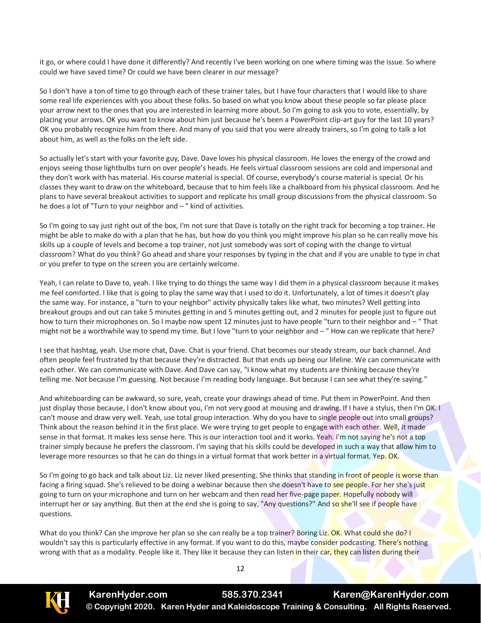it go, or where could I have done it differently? And recently I've been working on one where timing was the issue. So where could we have saved time? Or could we have been clearer in our message?

So I don't have a ton of time to go through each of these trainer tales, but I have four characters that I would like to share some real life experiences with you about these folks. So based on what you know about these people so far please place your arrow next to the ones that you are interested in learning more about. So I'm going to ask you to vote, essentially, by placing your arrows. OK you want to know about him just because he's been a PowerPoint clip-art guy for the last 10 years? OK you probably recognize him from there. And many of you said that you were already trainers, so I'm going to talk a lot about him, as well as the folks on the left side.

So actually let's start with your favorite guy, Dave. Dave loves his physical classroom. He loves the energy of the crowd and enjoys seeing those lightbulbs turn on over people's heads. He feels virtual classroom sessions are cold and impersonal and they don't work with has material. His course material is special. Of course, everybody's course material is special. Or his classes they want to draw on the whiteboard, because that to him feels like a chalkboard from his physical classroom. And he plans to have several breakout activities to support and replicate his small group discussions from the physical classroom. So he does a lot of "Turn to your neighbor and – " kind of activities.

So I'm going to say just right out of the box, I'm not sure that Dave is totally on the right track for becoming a top trainer. He might be able to make do with a plan that he has, but how do you think you might improve his plan so he can really move his skills up a couple of levels and become a top trainer, not just somebody was sort of coping with the change to virtual classroom? What do you think? Go ahead and share your responses by typing in the chat and if you are unable to type in chat or you prefer to type on the screen you are certainly welcome.

Yeah, I can relate to Dave to, yeah. I like trying to do things the same way I did them in a physical classroom because it makes me feel comforted. I like that is going to play the same way that I used to do it. Unfortunately, a lot of times it doesn't play the same way. For instance, a "turn to your neighbor" activity physically takes like what, two minutes? Well getting into breakout groups and out can take 5 minutes getting in and 5 minutes getting out, and 2 minutes for people just to figure out how to turn their microphones on. So I maybe now spent 12 minutes just to have people "turn to their neighbor and – "That might not be a worthwhile way to spend my time. But I love "turn to your neighbor and – " How can we replicate that here?

I see that hashtag, yeah. Use more chat, Dave. Chat is your friend. Chat becomes our steady stream, our back channel. And often people feel frustrated by that because they're distracted. But that ends up being our lifeline. We can communicate with each other. We can communicate with Dave. And Dave can say, "I know what my students are thinking because they're telling me. Not because I'm guessing. Not because I'm reading body language. But because I can see what they're saying."

And whiteboarding can be awkward, so sure, yeah, create your drawings ahead of time. Put them in PowerPoint. And then just display those because, I don't know about you, I'm not very good at mousing and drawing. If I have a stylus, then I'm OK. I can't mouse and draw very well. Yeah, use total group interaction. Why do you have to single people out into small groups? Think about the reason behind it in the first place. We were trying to get people to engage with each other. Well, it made sense in that format. It makes less sense here. This is our interaction tool and it works. Yeah. I'm not saying he's not a top trainer simply because he prefers the classroom. I'm saying that his skills could be developed in such a way that allow him to leverage more resources so that he can do things in a virtual format that work better in a virtual format. Yep. OK.

So I'm going to go back and talk about Liz. Liz never liked presenting. She thinks that standing in front of people is worse than facing a firing squad. She's relieved to be doing a webinar because then she doesn't have to see people. For her she's just going to turn on your microphone and turn on her webcam and then read her five-page paper. Hopefully nobody will interrupt her or say anything. But then at the end she is going to say, "Any questions?" And so she'll see if people have questions.

What do you think? Can she improve her plan so she can really be a top trainer? Boring Liz. OK. What could she do? I wouldn't say this is particularly effective in any format. If you want to do this, maybe consider podcasting. There's nothing wrong with that as a modality. People like it. They like it because they can listen in their car, they can listen during their

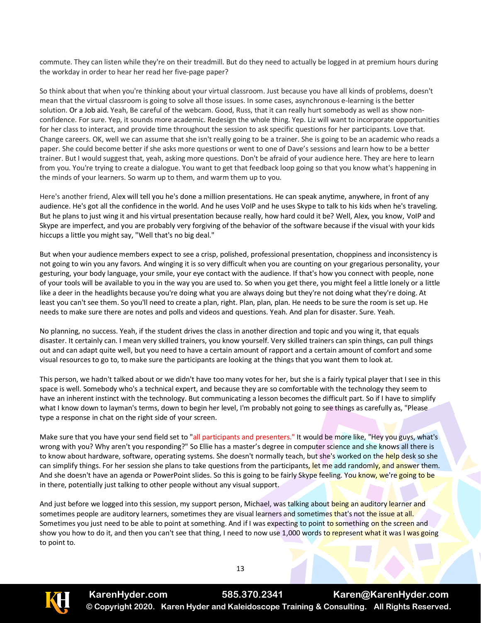commute. They can listen while they're on their treadmill. But do they need to actually be logged in at premium hours during the workday in order to hear her read her five-page paper?

So think about that when you're thinking about your virtual classroom. Just because you have all kinds of problems, doesn't mean that the virtual classroom is going to solve all those issues. In some cases, asynchronous e-learning is the better solution. Or a Job aid. Yeah, Be careful of the webcam. Good, Russ, that it can really hurt somebody as well as show nonconfidence. For sure. Yep, it sounds more academic. Redesign the whole thing. Yep. Liz will want to incorporate opportunities for her class to interact, and provide time throughout the session to ask specific questions for her participants. Love that. Change careers. OK, well we can assume that she isn't really going to be a trainer. She is going to be an academic who reads a paper. She could become better if she asks more questions or went to one of Dave's sessions and learn how to be a better trainer. But I would suggest that, yeah, asking more questions. Don't be afraid of your audience here. They are here to learn from you. You're trying to create a dialogue. You want to get that feedback loop going so that you know what's happening in the minds of your learners. So warm up to them, and warm them up to you.

Here's another friend, Alex will tell you he's done a million presentations. He can speak anytime, anywhere, in front of any audience. He's got all the confidence in the world. And he uses VoIP and he uses Skype to talk to his kids when he's traveling. But he plans to just wing it and his virtual presentation because really, how hard could it be? Well, Alex, you know, VoIP and Skype are imperfect, and you are probably very forgiving of the behavior of the software because if the visual with your kids hiccups a little you might say, "Well that's no big deal."

But when your audience members expect to see a crisp, polished, professional presentation, choppiness and inconsistency is not going to win you any favors. And winging it is so very difficult when you are counting on your gregarious personality, your gesturing, your body language, your smile, your eye contact with the audience. If that's how you connect with people, none of your tools will be available to you in the way you are used to. So when you get there, you might feel a little lonely or a little like a deer in the headlights because you're doing what you are always doing but they're not doing what they're doing. At least you can't see them. So you'll need to create a plan, right. Plan, plan, plan. He needs to be sure the room is set up. He needs to make sure there are notes and polls and videos and questions. Yeah. And plan for disaster. Sure. Yeah.

No planning, no success. Yeah, if the student drives the class in another direction and topic and you wing it, that equals disaster. It certainly can. I mean very skilled trainers, you know yourself. Very skilled trainers can spin things, can pull things out and can adapt quite well, but you need to have a certain amount of rapport and a certain amount of comfort and some visual resources to go to, to make sure the participants are looking at the things that you want them to look at.

This person, we hadn't talked about or we didn't have too many votes for her, but she is a fairly typical player that I see in this space is well. Somebody who's a technical expert, and because they are so comfortable with the technology they seem to have an inherent instinct with the technology. But communicating a lesson becomes the difficult part. So if I have to simplify what I know down to layman's terms, down to begin her level, I'm probably not going to see things as carefully as, "Please type a response in chat on the right side of your screen.

Make sure that you have your send field set to "all participants and presenters." It would be more like, "Hey you guys, what's wrong with you? Why aren't you responding?" So Ellie has a master's degree in computer science and she knows all there is to know about hardware, software, operating systems. She doesn't normally teach, but she's worked on the help desk so she can simplify things. For her session she plans to take questions from the participants, let me add randomly, and answer them. And she doesn't have an agenda or PowerPoint slides. So this is going to be fairly Skype feeling. You know, we're going to be in there, potentially just talking to other people without any visual support.

And just before we logged into this session, my support person, Michael, was talking about being an auditory learner and sometimes people are auditory learners, sometimes they are visual learners and sometimes that's not the issue at all. Sometimes you just need to be able to point at something. And if I was expecting to point to something on the screen and show you how to do it, and then you can't see that thing, I need to now use 1,000 words to represent what it was I was going to point to.



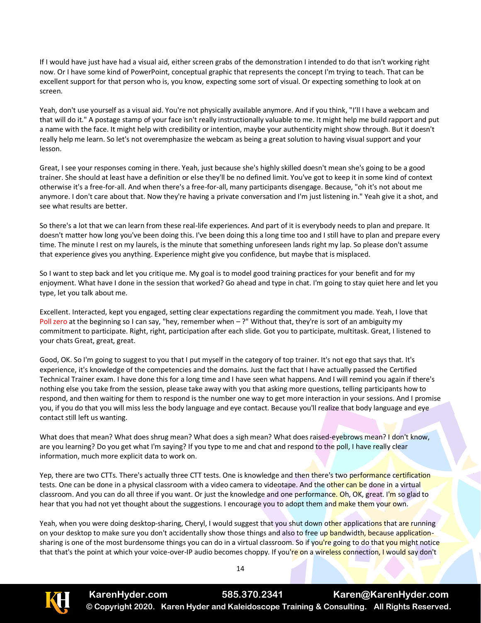If I would have just have had a visual aid, either screen grabs of the demonstration I intended to do that isn't working right now. Or I have some kind of PowerPoint, conceptual graphic that represents the concept I'm trying to teach. That can be excellent support for that person who is, you know, expecting some sort of visual. Or expecting something to look at on screen.

Yeah, don't use yourself as a visual aid. You're not physically available anymore. And if you think, "I'll I have a webcam and that will do it." A postage stamp of your face isn't really instructionally valuable to me. It might help me build rapport and put a name with the face. It might help with credibility or intention, maybe your authenticity might show through. But it doesn't really help me learn. So let's not overemphasize the webcam as being a great solution to having visual support and your lesson.

Great, I see your responses coming in there. Yeah, just because she's highly skilled doesn't mean she's going to be a good trainer. She should at least have a definition or else they'll be no defined limit. You've got to keep it in some kind of context otherwise it's a free-for-all. And when there's a free-for-all, many participants disengage. Because, "oh it's not about me anymore. I don't care about that. Now they're having a private conversation and I'm just listening in." Yeah give it a shot, and see what results are better.

So there's a lot that we can learn from these real-life experiences. And part of it is everybody needs to plan and prepare. It doesn't matter how long you've been doing this. I've been doing this a long time too and I still have to plan and prepare every time. The minute I rest on my laurels, is the minute that something unforeseen lands right my lap. So please don't assume that experience gives you anything. Experience might give you confidence, but maybe that is misplaced.

So I want to step back and let you critique me. My goal is to model good training practices for your benefit and for my enjoyment. What have I done in the session that worked? Go ahead and type in chat. I'm going to stay quiet here and let you type, let you talk about me.

Excellent. Interacted, kept you engaged, setting clear expectations regarding the commitment you made. Yeah, I love that Poll zero at the beginning so I can say, "hey, remember when  $-$ ?" Without that, they're is sort of an ambiguity my commitment to participate. Right, right, participation after each slide. Got you to participate, multitask. Great, I listened to your chats Great, great, great.

Good, OK. So I'm going to suggest to you that I put myself in the category of top trainer. It's not ego that says that. It's experience, it's knowledge of the competencies and the domains. Just the fact that I have actually passed the Certified Technical Trainer exam. I have done this for a long time and I have seen what happens. And I will remind you again if there's nothing else you take from the session, please take away with you that asking more questions, telling participants how to respond, and then waiting for them to respond is the number one way to get more interaction in your sessions. And I promise you, if you do that you will miss less the body language and eye contact. Because you'll realize that body language and eye contact still left us wanting.

What does that mean? What does shrug mean? What does a sigh mean? What does raised-eyebrows mean? I don't know, are you learning? Do you get what I'm saying? If you type to me and chat and respond to the poll, I have really clear information, much more explicit data to work on.

Yep, there are two CTTs. There's actually three CTT tests. One is knowledge and then there's two performance certification tests. One can be done in a physical classroom with a video camera to videotape. And the other can be done in a virtual classroom. And you can do all three if you want. Or just the knowledge and one performance. Oh, OK, great. I'm so glad to hear that you had not yet thought about the suggestions. I encourage you to adopt them and make them your own.

Yeah, when you were doing desktop-sharing, Cheryl, I would suggest that you shut down other applications that are running on your desktop to make sure you don't accidentally show those things and also to free up bandwidth, because applicationsharing is one of the most burdensome things you can do in a virtual classroom. So if you're going to do that you might notice that that's the point at which your voice-over-IP audio becomes choppy. If you're on a wireless connection, I would say don't

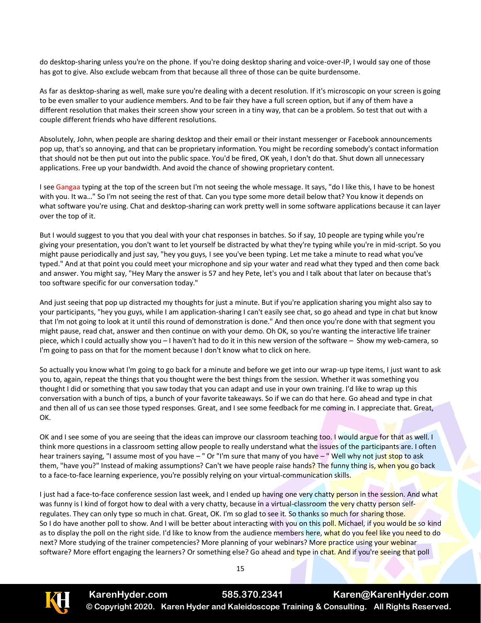do desktop-sharing unless you're on the phone. If you're doing desktop sharing and voice-over-IP, I would say one of those has got to give. Also exclude webcam from that because all three of those can be quite burdensome.

As far as desktop-sharing as well, make sure you're dealing with a decent resolution. If it's microscopic on your screen is going to be even smaller to your audience members. And to be fair they have a full screen option, but if any of them have a different resolution that makes their screen show your screen in a tiny way, that can be a problem. So test that out with a couple different friends who have different resolutions.

Absolutely, John, when people are sharing desktop and their email or their instant messenger or Facebook announcements pop up, that's so annoying, and that can be proprietary information. You might be recording somebody's contact information that should not be then put out into the public space. You'd be fired, OK yeah, I don't do that. Shut down all unnecessary applications. Free up your bandwidth. And avoid the chance of showing proprietary content.

I see Gangaa typing at the top of the screen but I'm not seeing the whole message. It says, "do I like this, I have to be honest with you. It wa…" So I'm not seeing the rest of that. Can you type some more detail below that? You know it depends on what software you're using. Chat and desktop-sharing can work pretty well in some software applications because it can layer over the top of it.

But I would suggest to you that you deal with your chat responses in batches. So if say, 10 people are typing while you're giving your presentation, you don't want to let yourself be distracted by what they're typing while you're in mid-script. So you might pause periodically and just say, "hey you guys, I see you've been typing. Let me take a minute to read what you've typed." And at that point you could meet your microphone and sip your water and read what they typed and then come back and answer. You might say, "Hey Mary the answer is 57 and hey Pete, let's you and I talk about that later on because that's too software specific for our conversation today."

And just seeing that pop up distracted my thoughts for just a minute. But if you're application sharing you might also say to your participants, "hey you guys, while I am application-sharing I can't easily see chat, so go ahead and type in chat but know that I'm not going to look at it until this round of demonstration is done." And then once you're done with that segment you might pause, read chat, answer and then continue on with your demo. Oh OK, so you're wanting the interactive life trainer piece, which I could actually show you – I haven't had to do it in this new version of the software – Show my web-camera, so I'm going to pass on that for the moment because I don't know what to click on here.

So actually you know what I'm going to go back for a minute and before we get into our wrap-up type items, I just want to ask you to, again, repeat the things that you thought were the best things from the session. Whether it was something you thought I did or something that you saw today that you can adapt and use in your own training. I'd like to wrap up this conversation with a bunch of tips, a bunch of your favorite takeaways. So if we can do that here. Go ahead and type in chat and then all of us can see those typed responses. Great, and I see some feedback for me coming in. I appreciate that. Great, OK.

OK and I see some of you are seeing that the ideas can improve our classroom teaching too. I would argue for that as well. I think more questions in a classroom setting allow people to really understand what the issues of the participants are. I often hear trainers saying, "I assume most of you have – " Or "I'm sure that many of you have – " Well why not just stop to ask them, "have you?" Instead of making assumptions? Can't we have people raise hands? The funny thing is, when you go back to a face-to-face learning experience, you're possibly relying on your virtual-communication skills.

I just had a face-to-face conference session last week, and I ended up having one very chatty person in the session. And what was funny is I kind of forgot how to deal with a very chatty, because in a virtual-classroom the very chatty person selfregulates. They can only type so much in chat. Great, OK. I'm so glad to see it. So thanks so much for sharing those. So I do have another poll to show. And I will be better about interacting with you on this poll. Michael, if you would be so kind as to display the poll on the right side. I'd like to know from the audience members here, what do you feel like you need to do next? More studying of the trainer competencies? More planning of your webinars? More practice using your webinar software? More effort engaging the learners? Or something else? Go ahead and type in chat. And if you're seeing that poll

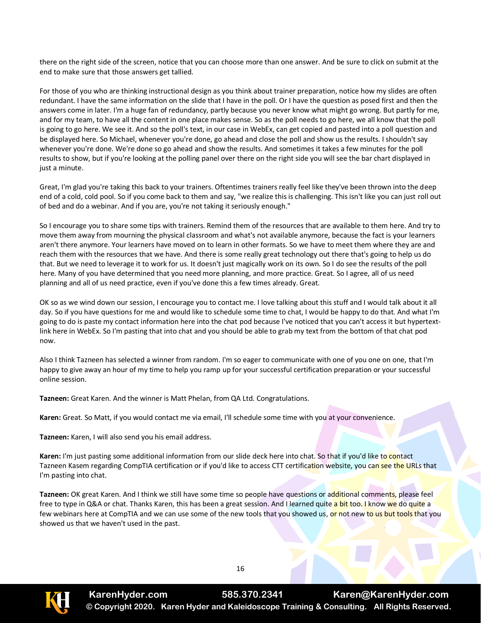there on the right side of the screen, notice that you can choose more than one answer. And be sure to click on submit at the end to make sure that those answers get tallied.

For those of you who are thinking instructional design as you think about trainer preparation, notice how my slides are often redundant. I have the same information on the slide that I have in the poll. Or I have the question as posed first and then the answers come in later. I'm a huge fan of redundancy, partly because you never know what might go wrong. But partly for me, and for my team, to have all the content in one place makes sense. So as the poll needs to go here, we all know that the poll is going to go here. We see it. And so the poll's text, in our case in WebEx, can get copied and pasted into a poll question and be displayed here. So Michael, whenever you're done, go ahead and close the poll and show us the results. I shouldn't say whenever you're done. We're done so go ahead and show the results. And sometimes it takes a few minutes for the poll results to show, but if you're looking at the polling panel over there on the right side you will see the bar chart displayed in just a minute.

Great, I'm glad you're taking this back to your trainers. Oftentimes trainers really feel like they've been thrown into the deep end of a cold, cold pool. So if you come back to them and say, "we realize this is challenging. This isn't like you can just roll out of bed and do a webinar. And if you are, you're not taking it seriously enough."

So I encourage you to share some tips with trainers. Remind them of the resources that are available to them here. And try to move them away from mourning the physical classroom and what's not available anymore, because the fact is your learners aren't there anymore. Your learners have moved on to learn in other formats. So we have to meet them where they are and reach them with the resources that we have. And there is some really great technology out there that's going to help us do that. But we need to leverage it to work for us. It doesn't just magically work on its own. So I do see the results of the poll here. Many of you have determined that you need more planning, and more practice. Great. So I agree, all of us need planning and all of us need practice, even if you've done this a few times already. Great.

OK so as we wind down our session, I encourage you to contact me. I love talking about this stuff and I would talk about it all day. So if you have questions for me and would like to schedule some time to chat, I would be happy to do that. And what I'm going to do is paste my contact information here into the chat pod because I've noticed that you can't access it but hypertextlink here in WebEx. So I'm pasting that into chat and you should be able to grab my text from the bottom of that chat pod now.

Also I think Tazneen has selected a winner from random. I'm so eager to communicate with one of you one on one, that I'm happy to give away an hour of my time to help you ramp up for your successful certification preparation or your successful online session.

**Tazneen:** Great Karen. And the winner is Matt Phelan, from QA Ltd. Congratulations.

**Karen:** Great. So Matt, if you would contact me via email, I'll schedule some time with you at your convenience.

**Tazneen:** Karen, I will also send you his email address.

**Karen:** I'm just pasting some additional information from our slide deck here into chat. So that if you'd like to contact Tazneen Kasem regarding CompTIA certification or if you'd like to access CTT certification website, you can see the URLs that I'm pasting into chat.

**Tazneen:** OK great Karen. And I think we still have some time so people have questions or additional comments, please feel free to type in Q&A or chat. Thanks Karen, this has been a great session. And I learned quite a bit too. I know we do quite a few webinars here at CompTIA and we can use some of the new tools that you showed us, or not new to us but tools that you showed us that we haven't used in the past.



**KarenHyder.com 585.370.2341 Karen@KarenHyder.com © Copyright 2020. Karen Hyder and Kaleidoscope Training & Consulting. All Rights Reserved.**